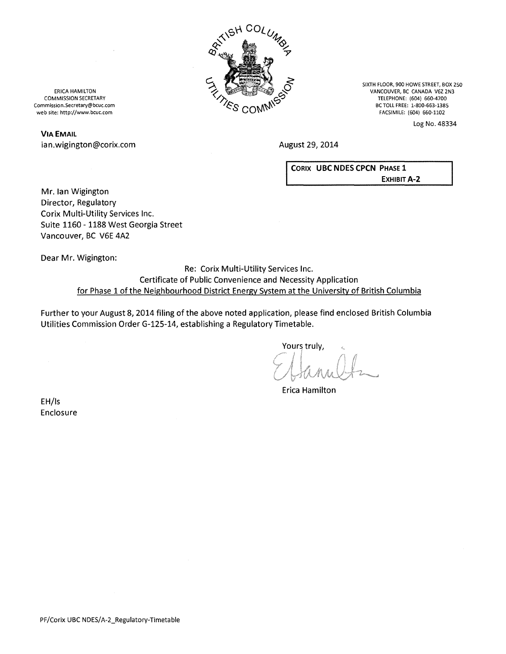

SIXTH FLOOR, 900 HOWE STREET, BOX 250 VANCOUVER, BC CANADA V6Z 2N3 TELEPHONE: (604) 660-4700 BC TOLL FREE: 1-800-663-1385 FACSIMILE: (604) 660-1102

Log No. 48334

August 29, 2014

CORIX UBC NOES CPCN PHASE 1 **EXHIBIT A-2** 

ERICA HAMILTON COMMISSION SECRETARY Commission.Secretary@bcuc.com web site: http://www.bcuc.com

# VIA EMAIL ian.wigington@corix.com

Mr. lan Wigington Director, Regulatory Corix Multi-Utility Services Inc. Suite 1160- 1188 West Georgia Street Vancouver, BC V6E 4A2

Dear Mr. Wigington:

Re: Corix Multi-Utility Services Inc. Certificate of Public Convenience and Necessity Application for Phase 1 of the Neighbourhood District Energy System at the University of British Columbia

Further to your August 8, 2014 filing of the above noted application, please find enclosed British Columbia Utilities Commission Order G-125-14, establishing a Regulatory Timetable.

Yours truly,

Erica Hamilton

EH/Is Enclosure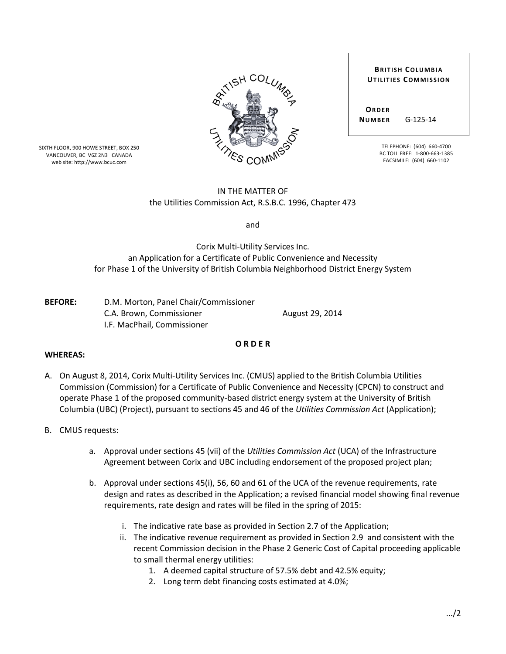

SIXTH FLOOR, 900 HOWE STREET, BOX 250 VANCOUVER, BC V6Z 2N3 CANADA web site: http://www.bcuc.com

#### **BRITISH COLUMBIA UTILITIES COMMISSION**

**ORDER NUMBER** G-125-14

> TELEPHONE: (604) 660-4700 BC TOLL FREE: 1-800-663-1385 FACSIMILE: (604) 660-1102

# IN THE MATTER OF the Utilities Commission Act, R.S.B.C. 1996, Chapter 473

and

Corix Multi-Utility Services Inc. an Application for a Certificate of Public Convenience and Necessity for Phase 1 of the University of British Columbia Neighborhood District Energy System

**BEFORE:** D.M. Morton, Panel Chair/Commissioner C.A. Brown, Commissioner **August 29, 2014** I.F. MacPhail, Commissioner

# **WHEREAS:**

A. On August 8, 2014, Corix Multi-Utility Services Inc. (CMUS) applied to the British Columbia Utilities Commission (Commission) for a Certificate of Public Convenience and Necessity (CPCN) to construct and operate Phase 1 of the proposed community-based district energy system at the University of British Columbia (UBC) (Project), pursuant to sections 45 and 46 of the *Utilities Commission Act* (Application);

**O R D E R** 

- B. CMUS requests:
	- a. Approval under sections 45 (vii) of the *Utilities Commission Act* (UCA) of the Infrastructure Agreement between Corix and UBC including endorsement of the proposed project plan;
	- b. Approval under sections 45(i), 56, 60 and 61 of the UCA of the revenue requirements, rate design and rates as described in the Application; a revised financial model showing final revenue requirements, rate design and rates will be filed in the spring of 2015:
		- i. The indicative rate base as provided in Section 2.7 of the Application;
		- ii. The indicative revenue requirement as provided in Section 2.9 and consistent with the recent Commission decision in the Phase 2 Generic Cost of Capital proceeding applicable to small thermal energy utilities:
			- 1. A deemed capital structure of 57.5% debt and 42.5% equity;
			- 2. Long term debt financing costs estimated at 4.0%;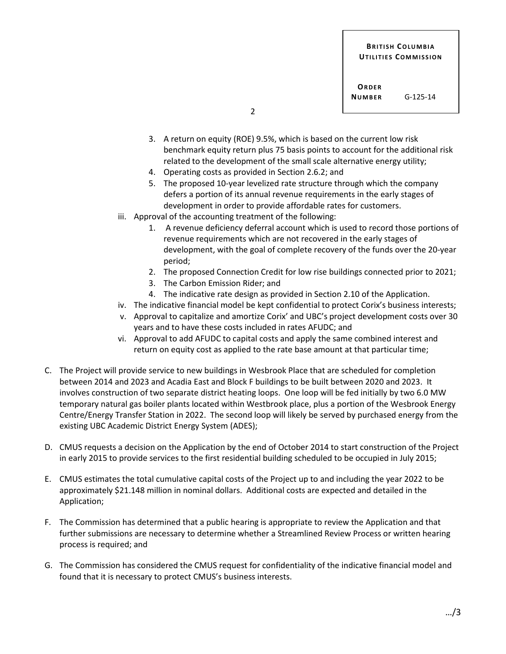- 3. A return on equity (ROE) 9.5%, which is based on the current low risk benchmark equity return plus 75 basis points to account for the additional risk related to the development of the small scale alternative energy utility;
- 4. Operating costs as provided in Section 2.6.2; and
- 5. The proposed 10-year levelized rate structure through which the company defers a portion of its annual revenue requirements in the early stages of development in order to provide affordable rates for customers.
- iii. Approval of the accounting treatment of the following:
	- 1. A revenue deficiency deferral account which is used to record those portions of revenue requirements which are not recovered in the early stages of development, with the goal of complete recovery of the funds over the 20-year period;
	- 2. The proposed Connection Credit for low rise buildings connected prior to 2021;
	- 3. The Carbon Emission Rider; and
	- 4. The indicative rate design as provided in Section 2.10 of the Application.
- iv. The indicative financial model be kept confidential to protect Corix's business interests;
- v. Approval to capitalize and amortize Corix' and UBC's project development costs over 30 years and to have these costs included in rates AFUDC; and
- vi. Approval to add AFUDC to capital costs and apply the same combined interest and return on equity cost as applied to the rate base amount at that particular time;
- C. The Project will provide service to new buildings in Wesbrook Place that are scheduled for completion between 2014 and 2023 and Acadia East and Block F buildings to be built between 2020 and 2023. It involves construction of two separate district heating loops. One loop will be fed initially by two 6.0 MW temporary natural gas boiler plants located within Westbrook place, plus a portion of the Wesbrook Energy Centre/Energy Transfer Station in 2022. The second loop will likely be served by purchased energy from the existing UBC Academic District Energy System (ADES);
- D. CMUS requests a decision on the Application by the end of October 2014 to start construction of the Project in early 2015 to provide services to the first residential building scheduled to be occupied in July 2015;
- E. CMUS estimates the total cumulative capital costs of the Project up to and including the year 2022 to be approximately \$21.148 million in nominal dollars. Additional costs are expected and detailed in the Application;
- F. The Commission has determined that a public hearing is appropriate to review the Application and that further submissions are necessary to determine whether a Streamlined Review Process or written hearing process is required; and
- G. The Commission has considered the CMUS request for confidentiality of the indicative financial model and found that it is necessary to protect CMUS's business interests.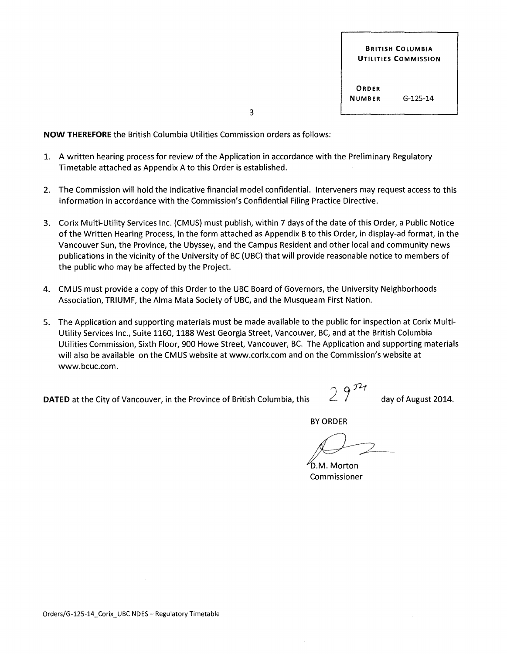3

**NOW THEREFORE** the British Columbia Utilities Commission orders as follows:

- 1. A written hearing process for review of the Application in accordance with the Preliminary Regulatory Timetable attached as Appendix A to this Order is established.
- 2. The Commission will hold the indicative financial model confidential. Interveners may request access to this information in accordance with the Commission's Confidential Filing Practice Directive.
- 3. Corix Multi-Utility Services Inc. (CMUS) must publish, within 7 days ofthe date of this Order, a Public Notice of the Written Hearing Process, in the form attached as Appendix B to this Order, in display-ad format, in the Vancouver Sun, the Province, the Ubyssey, and the Campus Resident and other local and community news publications in the vicinity of the University of BC (UBC) that will provide reasonable notice to members of the public who may be affected by the Project.
- 4. CMUS must provide a copy of this Order to the UBC Board of Governors, the University Neighborhoods Association, TRIUMF, the Alma Mata Society of UBC, and the Musqueam First Nation.
- 5. The Application and supporting materials must be made available to the public for inspection at Corix Multi-Utility Services Inc., Suite 1160, 1188 West Georgia Street, Vancouver, BC, and at the British Columbia Utilities Commission, Sixth Floor, 900 Howe Street, Vancouver, BC. The Application and supporting materials will also be available on the CMUS website at www.corix.com and on the Commission's website at www.bcuc.com.

**DATED** at the City of Vancouver, in the Province of British Columbia, this  $\angle$  d ay of August 2014.

BY ORDER

D.M. Morton Commissioner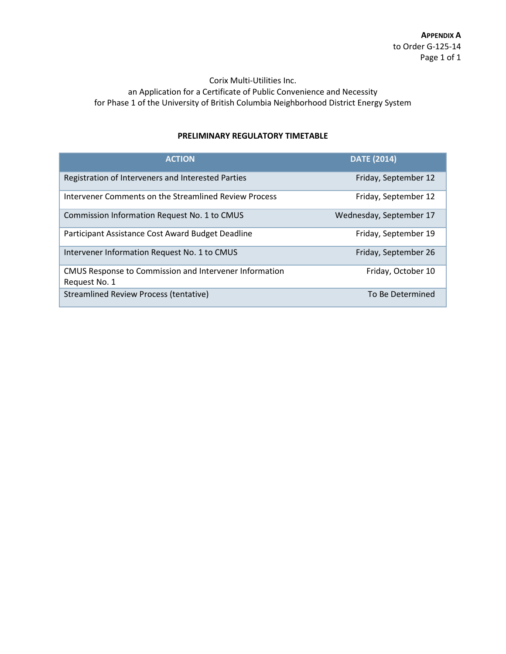### Corix Multi-Utilities Inc.

an Application for a Certificate of Public Convenience and Necessity for Phase 1 of the University of British Columbia Neighborhood District Energy System

# **PRELIMINARY REGULATORY TIMETABLE**

| <b>ACTION</b>                                                           | <b>DATE (2014)</b>      |
|-------------------------------------------------------------------------|-------------------------|
| Registration of Interveners and Interested Parties                      | Friday, September 12    |
| Intervener Comments on the Streamlined Review Process                   | Friday, September 12    |
| Commission Information Request No. 1 to CMUS                            | Wednesday, September 17 |
| Participant Assistance Cost Award Budget Deadline                       | Friday, September 19    |
| Intervener Information Request No. 1 to CMUS                            | Friday, September 26    |
| CMUS Response to Commission and Intervener Information<br>Request No. 1 | Friday, October 10      |
| <b>Streamlined Review Process (tentative)</b>                           | To Be Determined        |
|                                                                         |                         |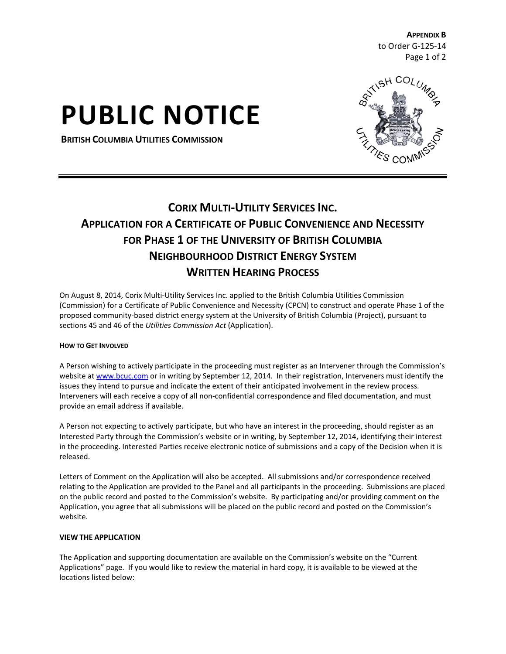**APPENDIX B**  to Order G-125-14 Page 1 of 2

# **PUBLIC NOTICE**

**BRITISH COLUMBIA UTILITIES COMMISSION**



# **CORIX MULTI-UTILITY SERVICES INC. APPLICATION FOR A CERTIFICATE OF PUBLIC CONVENIENCE AND NECESSITY FOR PHASE 1 OF THE UNIVERSITY OF BRITISH COLUMBIA NEIGHBOURHOOD DISTRICT ENERGY SYSTEM WRITTEN HEARING PROCESS**

On August 8, 2014, Corix Multi-Utility Services Inc. applied to the British Columbia Utilities Commission (Commission) for a Certificate of Public Convenience and Necessity (CPCN) to construct and operate Phase 1 of the proposed community-based district energy system at the University of British Columbia (Project), pursuant to sections 45 and 46 of the *Utilities Commission Act* (Application).

### **HOW TO GET INVOLVED**

A Person wishing to actively participate in the proceeding must register as an Intervener through the Commission's website a[t www.bcuc.com](http://www.bcuc.com/) or in writing by September 12, 2014. In their registration, Interveners must identify the issues they intend to pursue and indicate the extent of their anticipated involvement in the review process. Interveners will each receive a copy of all non-confidential correspondence and filed documentation, and must provide an email address if available.

A Person not expecting to actively participate, but who have an interest in the proceeding, should register as an Interested Party through the Commission's website or in writing, by September 12, 2014, identifying their interest in the proceeding. Interested Parties receive electronic notice of submissions and a copy of the Decision when it is released.

Letters of Comment on the Application will also be accepted. All submissions and/or correspondence received relating to the Application are provided to the Panel and all participants in the proceeding. Submissions are placed on the public record and posted to the Commission's website. By participating and/or providing comment on the Application, you agree that all submissions will be placed on the public record and posted on the Commission's website.

### **VIEW THE APPLICATION**

The Application and supporting documentation are available on the Commission's website on the "Current Applications" page. If you would like to review the material in hard copy, it is available to be viewed at the locations listed below: